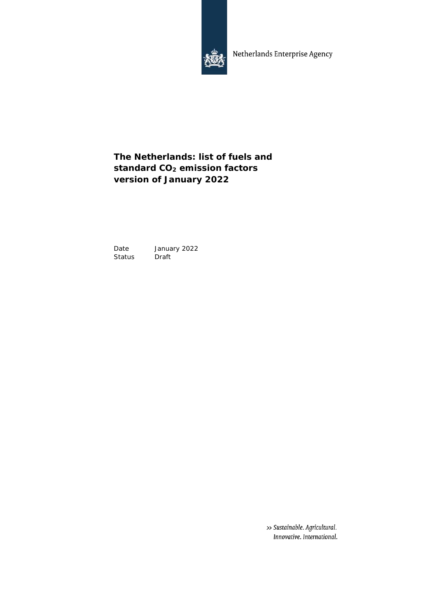

Netherlands Enterprise Agency

# **The Netherlands: list of fuels and standard CO<sup>2</sup> emission factors version of January 2022**

Date January 2022<br>Status Draft Status

> >> Sustainable. Agricultural. Innovative. International.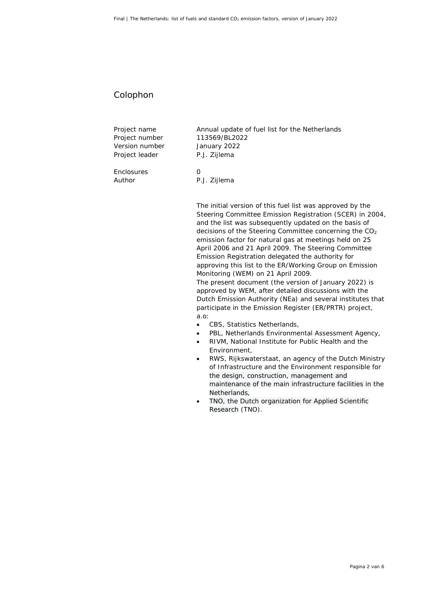#### Colophon

Project number 113569/BL2022 Version number January 2022 Project leader P.J. Zijlema

Enclosures 0

Project name **Annual update of fuel list for the Netherlands** 

Author P.J. Zijlema

The initial version of this fuel list was approved by the Steering Committee Emission Registration (SCER) in 2004, and the list was subsequently updated on the basis of decisions of the Steering Committee concerning the CO<sub>2</sub> emission factor for natural gas at meetings held on 25 April 2006 and 21 April 2009. The Steering Committee Emission Registration delegated the authority for approving this list to the ER/Working Group on Emission Monitoring (WEM) on 21 April 2009. The present document (the version of January 2022) is approved by WEM, after detailed discussions with the Dutch Emission Authority (NEa) and several institutes that participate in the Emission Register (ER/PRTR) project, a.o:

- CBS, Statistics Netherlands,
- PBL, Netherlands Environmental Assessment Agency,
- RIVM, National Institute for Public Health and the Environment,
- RWS, Rijkswaterstaat, an agency of the Dutch Ministry of Infrastructure and the Environment responsible for the design, construction, management and maintenance of the main infrastructure facilities in the Netherlands,
- TNO, the Dutch organization for Applied Scientific Research (TNO).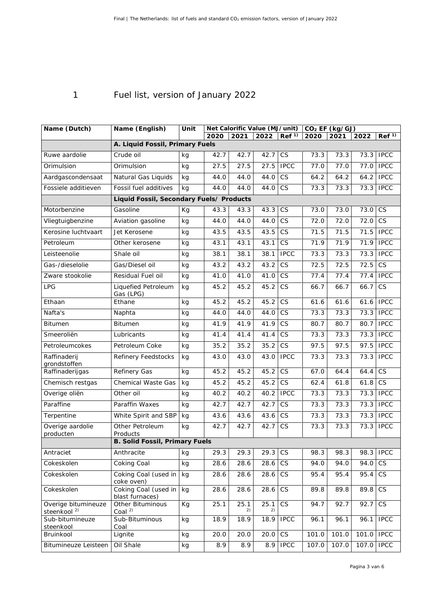# 1 Fuel list, version of January 2022

| Name (Dutch)                                   | Name (English)                           | Unit | Net Calorific Value (MJ/unit) |            |            |                        | $CO2$ EF (kg/GJ) |       |            |                        |  |  |
|------------------------------------------------|------------------------------------------|------|-------------------------------|------------|------------|------------------------|------------------|-------|------------|------------------------|--|--|
|                                                |                                          |      | 2020                          | 2021       | 2022       | Ref <sup>1</sup>       | 2020             | 2021  | 2022       | Ref <sup>1</sup>       |  |  |
|                                                | A. Liquid Fossil, Primary Fuels          |      |                               |            |            |                        |                  |       |            |                        |  |  |
| Ruwe aardolie                                  | Crude oil                                | kg   | 42.7                          | 42.7       | 42.7       | <b>CS</b>              | 73.3             | 73.3  | 73.3       | <b>IPCC</b>            |  |  |
| Orimulsion                                     | Orimulsion                               | kg   | 27.5                          | 27.5       | 27.5       | <b>IPCC</b>            | 77.0             | 77.0  | 77.0       | <b>IPCC</b>            |  |  |
| Aardgascondensaat                              | Natural Gas Liquids                      | kg   | 44.0                          | 44.0       | 44.0       | <b>CS</b>              | 64.2             | 64.2  | 64.2       | <b>IPCC</b>            |  |  |
| Fossiele additieven                            | Fossil fuel additives                    | kg   | 44.0                          | 44.0       | 44.0       | CS                     | 73.3             | 73.3  | 73.3       | <b>IPCC</b>            |  |  |
|                                                | Liquid Fossil, Secondary Fuels/ Products |      |                               |            |            |                        |                  |       |            |                        |  |  |
| Motorbenzine                                   | Gasoline                                 | Kg   | 43.3                          | 43.3       | 43.3       | CS                     | 73.0             | 73.0  | 73.0       | <b>CS</b>              |  |  |
| Vliegtuigbenzine                               | Aviation gasoline                        | kg   | 44.0                          | 44.0       | 44.0       | CS                     | 72.0             | 72.0  | 72.0       | <b>CS</b>              |  |  |
| Kerosine luchtvaart                            | Jet Kerosene                             | kg   | 43.5                          | 43.5       | 43.5       | $\overline{\text{CS}}$ | 71.5             | 71.5  | 71.5       | <b>IPCC</b>            |  |  |
| Petroleum                                      | Other kerosene                           | kg   | 43.1                          | 43.1       | 43.1       | <b>CS</b>              | 71.9             | 71.9  | 71.9       | <b>IPCC</b>            |  |  |
| Leisteenolie                                   | Shale oil                                | kg   | 38.1                          | 38.1       | 38.1       | <b>IPCC</b>            | 73.3             | 73.3  | 73.3       | <b>IPCC</b>            |  |  |
| Gas-/dieselolie                                | Gas/Diesel oil                           | kg   | 43.2                          | 43.2       | 43.2       | <b>CS</b>              | 72.5             | 72.5  | 72.5       | $\overline{\text{CS}}$ |  |  |
| Zware stookolie                                | Residual Fuel oil                        | kg   | 41.0                          | 41.0       | 41.0       | CS                     | 77.4             | 77.4  | 77.4       | <b>IPCC</b>            |  |  |
| LPG                                            | Liquefied Petroleum<br>Gas (LPG)         | kg   | 45.2                          | 45.2       | 45.2       | $\overline{\text{CS}}$ | 66.7             | 66.7  | 66.7       | $\overline{\text{CS}}$ |  |  |
| Ethaan                                         | Ethane                                   | kg   | 45.2                          | 45.2       | 45.2       | CS                     | 61.6             | 61.6  | 61.6       | <b>IPCC</b>            |  |  |
| Nafta's                                        | Naphta                                   | kg   | 44.0                          | 44.0       | 44.0       | <b>CS</b>              | 73.3             | 73.3  | 73.3       | <b>IPCC</b>            |  |  |
| Bitumen                                        | <b>Bitumen</b>                           | kg   | 41.9                          | 41.9       | 41.9       | $\overline{\text{CS}}$ | 80.7             | 80.7  | 80.7       | <b>IPCC</b>            |  |  |
| Smeeroliën                                     | Lubricants                               | kg   | 41.4                          | 41.4       | 41.4       | $\overline{\text{CS}}$ | 73.3             | 73.3  | 73.3       | <b>IPCC</b>            |  |  |
| Petroleumcokes                                 | Petroleum Coke                           | kg   | 35.2                          | 35.2       | 35.2       | <b>CS</b>              | 97.5             | 97.5  | 97.5       | <b>IPCC</b>            |  |  |
| Raffinaderij<br>grondstoffen                   | Refinery Feedstocks                      | kg   | 43.0                          | 43.0       | 43.0       | <b>IPCC</b>            | 73.3             | 73.3  | 73.3       | <b>IPCC</b>            |  |  |
| Raffinaderijgas                                | Refinery Gas                             | kg   | 45.2                          | 45.2       | 45.2       | <b>CS</b>              | 67.0             | 64.4  | 64.4       | CS                     |  |  |
| Chemisch restgas                               | Chemical Waste Gas                       | kg   | 45.2                          | 45.2       | 45.2       | CS                     | 62.4             | 61.8  | 61.8       | $\overline{\text{CS}}$ |  |  |
| Overige oliën                                  | Other oil                                | kg   | 40.2                          | 40.2       | 40.2       | <b>IPCC</b>            | 73.3             | 73.3  | 73.3       | <b>IPCC</b>            |  |  |
| Paraffine                                      | Paraffin Waxes                           | kg   | 42.7                          | 42.7       | 42.7       | CS                     | 73.3             | 73.3  | 73.3       | <b>IPCC</b>            |  |  |
| Terpentine                                     | White Spirit and SBP                     | kg   | 43.6                          | 43.6       | 43.6       | CS                     | 73.3             | 73.3  | 73.3       | <b>IPCC</b>            |  |  |
| Overige aardolie<br>producten                  | Other Petroleum<br>Products              | kg   | 42.7                          | 42.7       | 42.7       | <b>CS</b>              | 73.3             | 73.3  | 73.3       | <b>IPCC</b>            |  |  |
|                                                | B. Solid Fossil, Primary Fuels           |      |                               |            |            |                        |                  |       |            |                        |  |  |
| Antraciet                                      | Anthracite                               | kg   | 29.3                          | 29.3       | 29.3       | CS                     | 98.3             | 98.3  | 98.3       | <b>IPCC</b>            |  |  |
| Cokeskolen                                     | Coking Coal                              | kg   | 28.6                          | 28.6       | 28.6       | CS                     | 94.0             | 94.0  | 94.0       | CS                     |  |  |
| Cokeskolen                                     | Coking Coal (used in<br>coke oven)       | kg   | 28.6                          | 28.6       | 28.6       | $\mathbb{C}\mathsf{S}$ | 95.4             | 95.4  | 95.4       | CS                     |  |  |
| Cokeskolen                                     | Coking Coal (used in<br>blast furnaces)  | kg   | 28.6                          | 28.6       | 28.6       | $\mathbb{C}\mathsf{S}$ | 89.8             | 89.8  | 89.8       | <b>CS</b>              |  |  |
| Overige bitumineuze<br>steenkool <sup>2)</sup> | Other Bituminous<br>Coal $2$             | Kg   | 25.1                          | 25.1<br>2) | 25.1<br>2) | CS                     | 94.7             | 92.7  | 92.7       | CS                     |  |  |
| Sub-bitumineuze<br>steenkool                   | Sub-Bituminous<br>Coal                   | kg   | 18.9                          | 18.9       | 18.9       | <b>IPCC</b>            | 96.1             | 96.1  | 96.1       | <b>IPCC</b>            |  |  |
| Bruinkool                                      | Lignite                                  | kg   | 20.0                          | 20.0       | 20.0       | <b>CS</b>              | 101.0            | 101.0 | 101.0 IPCC |                        |  |  |
| Bitumineuze Leisteen                           | Oil Shale                                | kg   | 8.9                           | 8.9        | 8.9        | <b>IPCC</b>            | 107.0            | 107.0 | 107.0      | <b>IPCC</b>            |  |  |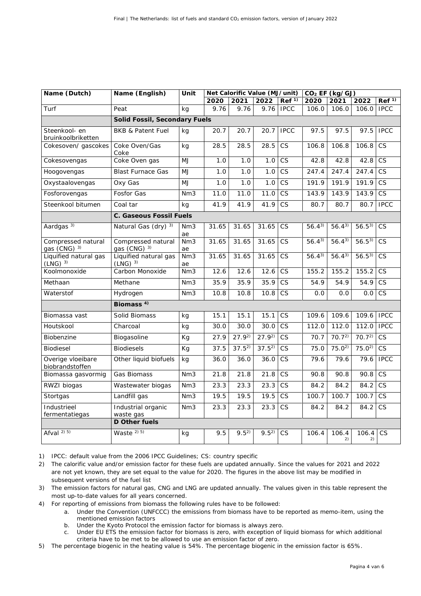| Name (Dutch)                                  | Name (English)                       | Unit      | Net Calorific Value (MJ/unit) |            |            |                        | CO <sub>2</sub> EF (kg/GJ) |                       |                       |                        |  |
|-----------------------------------------------|--------------------------------------|-----------|-------------------------------|------------|------------|------------------------|----------------------------|-----------------------|-----------------------|------------------------|--|
|                                               |                                      |           | 2020                          | 2021       | 2022       | Ref <sup>1</sup>       | 2020                       | 2021                  | 2022                  | Ref <sup>1</sup>       |  |
| Turf                                          | Peat                                 | kg        | 9.76                          | 9.76       | 9.76       | <b>IPCC</b>            | 106.0                      | 106.0                 | 106.0                 | <b>IPCC</b>            |  |
|                                               | Solid Fossil, Secondary Fuels        |           |                               |            |            |                        |                            |                       |                       |                        |  |
| Steenkool- en<br>bruinkoolbriketten           | <b>BKB &amp; Patent Fuel</b>         | kg        | 20.7                          | 20.7       | 20.7       | <b>IPCC</b>            | 97.5                       | 97.5                  | 97.5                  | <b>IPCC</b>            |  |
| Cokesoven/ gascokes                           | Coke Oven/Gas<br>Coke                | kg        | 28.5                          | 28.5       | 28.5       | CS                     | 106.8                      | 106.8                 | 106.8                 | $\overline{\text{CS}}$ |  |
| Cokesovengas                                  | Coke Oven gas                        | MJ        | 1.0                           | 1.0        | 1.0        | CS                     | 42.8                       | 42.8                  | 42.8                  | CS                     |  |
| Hoogovengas                                   | <b>Blast Furnace Gas</b>             | MJ        | 1.0                           | 1.0        | 1.0        | CS                     | 247.4                      | 247.4                 | 247.4                 | $\overline{\text{CS}}$ |  |
| Oxystaalovengas                               | Oxy Gas                              | MJ        | 1.0                           | 1.0        | 1.0        | CS                     | 191.9                      | 191.9                 | 191.9                 | CS                     |  |
| Fosforovengas                                 | Fosfor Gas                           | Nm3       | 11.0                          | 11.0       | 11.0       | <b>CS</b>              | 143.9                      | 143.9                 | 143.9                 | <b>CS</b>              |  |
| Steenkool bitumen                             | Coal tar                             | kg        | 41.9                          | 41.9       | 41.9       | CS                     | 80.7                       | 80.7                  | 80.7                  | <b>IPCC</b>            |  |
|                                               | C. Gaseous Fossil Fuels              |           |                               |            |            |                        |                            |                       |                       |                        |  |
| Aardgas <sup>3)</sup>                         | Natural Gas (dry) 3)                 | Nm3<br>ae | 31.65                         | 31.65      | 31.65      | $\overline{\text{CS}}$ | $56.4^{3}$                 | $56.4^{3}$            | $56.\overline{5^{3}}$ | $\overline{\text{CS}}$ |  |
| Compressed natural<br>gas (CNG) <sup>3)</sup> | Compressed natural<br>gas (CNG) 3)   | Nm3<br>ae | 31.65                         | 31.65      | 31.65      | CS                     | $56.4^{3}$                 | $56.\overline{4^{3}}$ | $56.5^{3}$            | $\overline{\text{CS}}$ |  |
| Liquified natural gas<br>$(LNG)^{3}$          | Liquified natural gas<br>$(LNG)^{3}$ | Nm3<br>ae | 31.65                         | 31.65      | 31.65      | <b>CS</b>              | $56.4^{3}$                 | $56.4^{3}$            | $56.5^{3}$            | <b>CS</b>              |  |
| Koolmonoxide                                  | Carbon Monoxide                      | Nm3       | 12.6                          | 12.6       | 12.6       | CS                     | 155.2                      | 155.2                 | 155.2                 | $\overline{\text{CS}}$ |  |
| Methaan                                       | Methane                              | Nm3       | 35.9                          | 35.9       | 35.9       | CS                     | 54.9                       | 54.9                  | 54.9                  | CS                     |  |
| Waterstof                                     | Hydrogen                             | Nm3       | 10.8                          | 10.8       | 10.8       | <b>CS</b>              | 0.0                        | 0.0                   | 0.0                   | <b>CS</b>              |  |
|                                               | Biomass <sup>4)</sup>                |           |                               |            |            |                        |                            |                       |                       |                        |  |
| Biomassa vast                                 | Solid Biomass                        | kg        | 15.1                          | 15.1       | 15.1       | $\overline{\text{CS}}$ | 109.6                      | 109.6                 | 109.6                 | <b>IPCC</b>            |  |
| Houtskool                                     | Charcoal                             | kg        | 30.0                          | 30.0       | 30.0       | CS                     | 112.0                      | 112.0                 | 112.0                 | <b>IPCC</b>            |  |
| Biobenzine                                    | Biogasoline                          | Kg        | 27.9                          | $27.9^{2}$ | $27.9^{2}$ | CS                     | 70.7                       | 70.7 <sup>2</sup>     | 70.7 <sup>2</sup>     | $\overline{\text{CS}}$ |  |
| Biodiesel                                     | <b>Biodiesels</b>                    | Kg        | 37.5                          | $37.5^{2}$ | $37.5^{2}$ | <b>CS</b>              | 75.0                       | $75.0^{2}$            | $75.0^{2}$            | $\overline{\text{CS}}$ |  |
| Overige vloeibare<br>biobrandstoffen          | Other liquid biofuels                | kg        | 36.0                          | 36.0       | 36.0       | CS                     | 79.6                       | 79.6                  | 79.6                  | <b>IPCC</b>            |  |
| Biomassa gasvormig                            | Gas Biomass                          | Nm3       | 21.8                          | 21.8       | 21.8       | CS                     | 90.8                       | 90.8                  | 90.8                  | CS                     |  |
| RWZI biogas                                   | Wastewater biogas                    | Nm3       | 23.3                          | 23.3       | 23.3       | <b>CS</b>              | 84.2                       | 84.2                  | 84.2                  | <b>CS</b>              |  |
| Stortgas                                      | Landfill gas                         | Nm3       | 19.5                          | 19.5       | 19.5       | CS                     | 100.7                      | 100.7                 | 100.7                 | CS                     |  |
| Industrieel<br>fermentatiegas                 | Industrial organic<br>waste gas      | Nm3       | 23.3                          | 23.3       | 23.3       | CS                     | 84.2                       | 84.2                  | 84.2                  | $\overline{\text{CS}}$ |  |
|                                               | D Other fuels                        |           |                               |            |            |                        |                            |                       |                       |                        |  |
| Afval $^{2)}$ 5)                              | Waste $2)$ 5)                        | kg        | 9.5                           | $9.5^{2}$  | $9.5^{2}$  | $\overline{\text{CS}}$ | 106.4                      | 106.4<br>2)           | 106.4<br>2)           | CS                     |  |

1) IPCC: default value from the 2006 IPCC Guidelines; CS: country specific

- 2) The calorific value and/or emission factor for these fuels are updated annually. Since the values for 2021 and 2022 are not yet known, they are set equal to the value for 2020. The figures in the above list may be modified in subsequent versions of the fuel list
- 3) The emission factors for natural gas, CNG and LNG are updated annually. The values given in this table represent the most up-to-date values for all years concerned.
- 4) For reporting of emissions from biomass the following rules have to be followed:
	- a. Under the Convention (UNFCCC) the emissions from biomass have to be reported as memo-item, using the mentioned emission factors
	- b. Under the Kyoto Protocol the emission factor for biomass is always zero.
	- c. Under EU ETS the emission factor for biomass is zero, with exception of liquid biomass for which additional criteria have to be met to be allowed to use an emission factor of zero.
- 5) The percentage biogenic in the heating value is 54%. The percentage biogenic in the emission factor is 65%.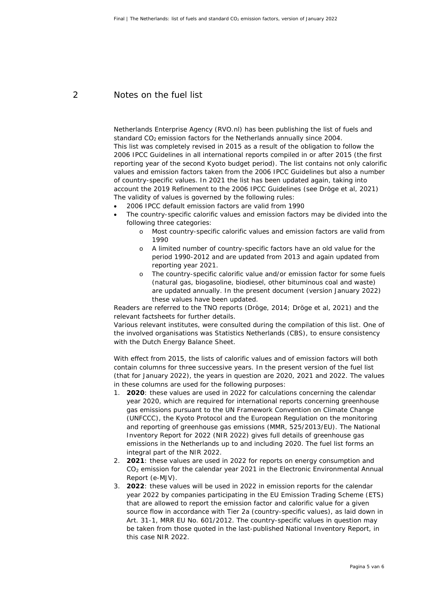### 2 Notes on the fuel list

Netherlands Enterprise Agency (RVO.nl) has been publishing the list of fuels and standard CO<sub>2</sub> emission factors for the Netherlands annually since 2004. This list was completely revised in 2015 as a result of the obligation to follow the *2006 IPCC Guidelines* in all international reports compiled in or after 2015 (the first reporting year of the second Kyoto budget period). The list contains not only calorific values and emission factors taken from the *2006 IPCC Guidelines* but also a number of country-specific values. In 2021 the list has been updated again, taking into account the 2019 Refinement to the 2006 IPCC Guidelines (see Dröge et al, 2021) The validity of values is governed by the following rules:

- *2006 IPCC* default emission factors are valid from 1990
- The country-specific calorific values and emission factors may be divided into the following three categories:
	- o Most country-specific calorific values and emission factors are valid from  $100<sub>0</sub>$
	- o A limited number of country-specific factors have an old value for the period 1990-2012 and are updated from 2013 and again updated from reporting year 2021.
	- o The country-specific calorific value and/or emission factor for some fuels (natural gas, biogasoline, biodiesel, other bituminous coal and waste) are updated annually. In the present document (version January 2022) these values have been updated.

Readers are referred to the TNO reports (Dröge, 2014; Dröge et al, 2021) and the relevant factsheets for further details.

Various relevant institutes, were consulted during the compilation of this list. One of the involved organisations was Statistics Netherlands (CBS), to ensure consistency with the Dutch Energy Balance Sheet.

With effect from 2015, the lists of calorific values and of emission factors will both contain columns for three successive years. In the present version of the fuel list (that for January 2022), the years in question are 2020, 2021 and 2022. The values in these columns are used for the following purposes:

- 1. **2020**: these values are used in 2022 for calculations concerning the calendar year 2020, which are required for international reports concerning greenhouse gas emissions pursuant to the UN Framework Convention on Climate Change (UNFCCC), the Kyoto Protocol and the European Regulation on the monitoring and reporting of greenhouse gas emissions (MMR, 525/2013/EU). The National Inventory Report for 2022 (NIR 2022) gives full details of greenhouse gas emissions in the Netherlands up to and including 2020. The fuel list forms an integral part of the NIR 2022.
- 2. **2021**: these values are used in 2022 for reports on energy consumption and CO<sub>2</sub> emission for the calendar year 2021 in the Electronic Environmental Annual Report (e-MJV).
- 3. **2022**: these values will be used in 2022 in emission reports for the calendar year 2022 by companies participating in the EU Emission Trading Scheme (ETS) that are allowed to report the emission factor and calorific value for a given source flow in accordance with Tier 2a (country-specific values), as laid down in Art. 31-1, MRR EU No. 601/2012. The country-specific values in question may be taken from those quoted in the last-published National Inventory Report, in this case NIR 2022.